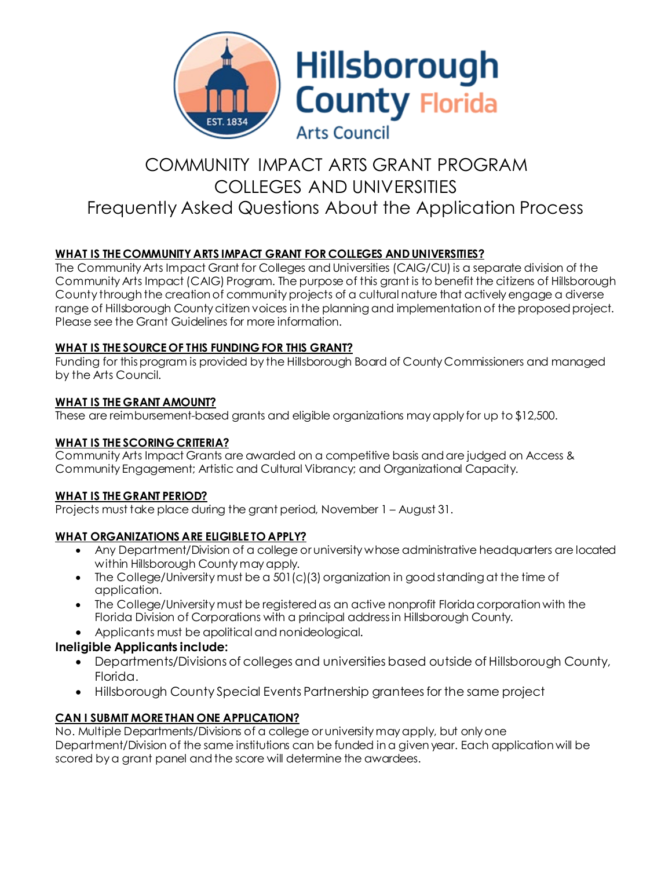

# COMMUNITY IMPACT ARTS GRANT PROGRAM COLLEGES AND UNIVERSITIES Frequently Asked Questions About the Application Process

# **WHAT IS THE COMMUNITY ARTS IMPACT GRANT FOR COLLEGES AND UNIVERSITIES?**

The Community Arts Impact Grant for Colleges and Universities (CAIG/CU) is a separate division of the Community Arts Impact (CAIG) Program. The purpose of this grant is to benefit the citizens of Hillsborough County through the creation of community projects of a cultural nature that actively engage a diverse range of Hillsborough County citizen voices in the planning and implementation of the proposed project. Please see the Grant Guidelines for more information.

# **WHAT IS THE SOURCE OF THIS FUNDING FOR THIS GRANT?**

Funding for this program is provided by the Hillsborough Board of County Commissioners and managed by the Arts Council.

# **WHAT IS THE GRANT AMOUNT?**

These are reimbursement-based grants and eligible organizations may apply for up to \$12,500.

# **WHAT IS THE SCORING CRITERIA?**

Community Arts Impact Grants are awarded on a competitive basis and are judged on Access & Community Engagement; Artistic and Cultural Vibrancy; and Organizational Capacity.

#### **WHAT IS THE GRANT PERIOD?**

Projects must take place during the grant period, November 1 – August 31.

# **WHAT ORGANIZATIONS ARE ELIGIBLE TO APPLY?**

- Any Department/Division of a college or university whose administrative headquarters are located within Hillsborough County may apply.
- The College/University must be a 501(c)(3) organization in good standing at the time of application.
- The College/University must be registered as an active nonprofit Florida corporation with the Florida Division of Corporations with a principal address in Hillsborough County.
- Applicants must be apolitical and nonideological.

# **Ineligible Applicants include:**

- Departments/Divisions of colleges and universities based outside of Hillsborough County, Florida.
- Hillsborough County Special Events Partnership grantees for the same project

# **CAN I SUBMIT MORE THAN ONE APPLICATION?**

No. Multiple Departments/Divisions of a college or university may apply, but only one Department/Division of the same institutions can be funded in a given year. Each application will be scored by a grant panel and the score will determine the awardees.